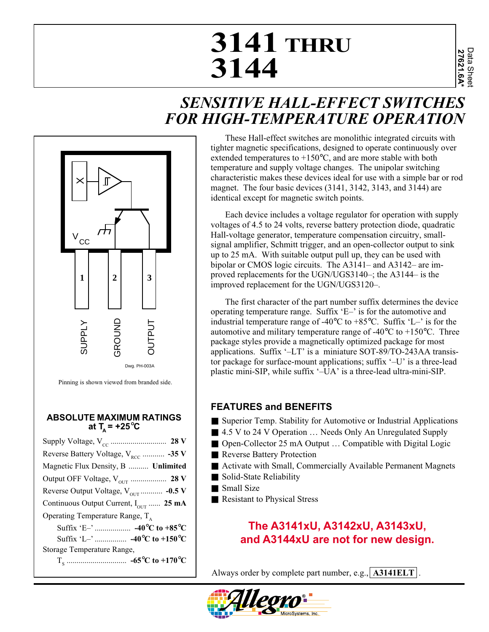# **3141 THRU 3144**

## *SENSITIVE HALL-EFFECT SWITCHES FOR HIGH-TEMPERATURE OPERATION*



Pinning is shown viewed from branded side.

#### **ABSOLUTE MAXIMUM RATINGS** at  $T_a$  =  $+25^{\circ}$ C

| Reverse Battery Voltage, $V_{\text{RCC}}$ -35 V   |
|---------------------------------------------------|
| Magnetic Flux Density, B  Unlimited               |
|                                                   |
| Reverse Output Voltage, $V_{\text{OUT}}$ -0.5 V   |
| Continuous Output Current, $I_{\text{OUT}}$ 25 mA |
| Operating Temperature Range, $T_{A}$              |
|                                                   |
|                                                   |
| Storage Temperature Range,                        |
|                                                   |
|                                                   |

These Hall-effect switches are monolithic integrated circuits with tighter magnetic specifications, designed to operate continuously over extended temperatures to +150°C, and are more stable with both temperature and supply voltage changes. The unipolar switching characteristic makes these devices ideal for use with a simple bar or rod magnet. The four basic devices (3141, 3142, 3143, and 3144) are identical except for magnetic switch points.

Each device includes a voltage regulator for operation with supply voltages of 4.5 to 24 volts, reverse battery protection diode, quadratic Hall-voltage generator, temperature compensation circuitry, smallsignal amplifier, Schmitt trigger, and an open-collector output to sink up to 25 mA. With suitable output pull up, they can be used with bipolar or CMOS logic circuits. The A3141– and A3142– are improved replacements for the UGN/UGS3140–; the A3144– is the improved replacement for the UGN/UGS3120–.

The first character of the part number suffix determines the device operating temperature range. Suffix 'E–' is for the automotive and industrial temperature range of -40 $^{\circ}$ C to +85 $^{\circ}$ C. Suffix 'L-' is for the automotive and military temperature range of -40 $\degree$ C to +150 $\degree$ C. Three package styles provide a magnetically optimized package for most applications. Suffix '–LT' is a miniature SOT-89/TO-243AA transistor package for surface-mount applications; suffix '–U' is a three-lead plastic mini-SIP, while suffix '–UA' is a three-lead ultra-mini-SIP.

### **FEATURES and BENEFITS**

- Superior Temp. Stability for Automotive or Industrial Applications
- 4.5 V to 24 V Operation ... Needs Only An Unregulated Supply
- Open-Collector 25 mA Output ... Compatible with Digital Logic
- Reverse Battery Protection
- Activate with Small, Commercially Available Permanent Magnets
- Solid-State Reliability
- Small Size
- Resistant to Physical Stress

## **The A3141xU, A3142xU, A3143xU, and A3144xU are not for new design.**

Always order by complete part number, e.g., **A3141ELT** .

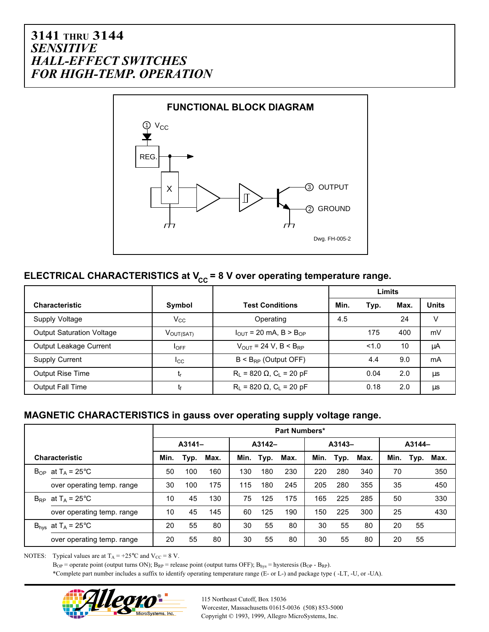

## **ELECTRICAL CHARACTERISTICS at V<sub>CC</sub> = 8 V over operating temperature range.**

|                                  |                       |                                               | Limits |       |      |              |  |
|----------------------------------|-----------------------|-----------------------------------------------|--------|-------|------|--------------|--|
| <b>Characteristic</b>            | Symbol                | <b>Test Conditions</b>                        | Min.   | Typ.  | Max. | <b>Units</b> |  |
| Supply Voltage                   | $V_{\rm CC}$          | Operating                                     | 4.5    |       | 24   | v            |  |
| <b>Output Saturation Voltage</b> | $V_{\text{OUT(SAT)}}$ | $I_{\text{OUT}}$ = 20 mA, B > B <sub>OP</sub> |        | 175   | 400  | mV           |  |
| Output Leakage Current           | $I_{OFF}$             | $V_{OUT}$ = 24 V, B < B <sub>RP</sub>         |        | < 1.0 | 10   | μA           |  |
| <b>Supply Current</b>            | Icc                   | $B < B_{RP}$ (Output OFF)                     |        | 4.4   | 9.0  | mA           |  |
| <b>Output Rise Time</b>          | եր                    | $R_L$ = 820 $\Omega$ , $C_L$ = 20 pF          |        | 0.04  | 2.0  | μs           |  |
| <b>Output Fall Time</b>          | โf                    | $R_L$ = 820 $\Omega$ , C <sub>L</sub> = 20 pF |        | 0.18  | 2.0  | μs           |  |

#### **MAGNETIC CHARACTERISTICS in gauss over operating supply voltage range.**

|                                         | Part Numbers* |      |      |        |      |          |      |      |        |      |      |      |
|-----------------------------------------|---------------|------|------|--------|------|----------|------|------|--------|------|------|------|
|                                         | $A3141-$      |      |      | A3142- |      | $A3143-$ |      |      | A3144- |      |      |      |
| <b>Characteristic</b>                   | Min.          | Typ. | Max. | Min.   | Typ. | Max.     | Min. | Typ. | Max.   | Min. | Typ. | Max. |
| $B_{OP}$ at T <sub>A</sub> = 25°C       | 50            | 100  | 160  | 130    | 180  | 230      | 220  | 280  | 340    | 70   |      | 350  |
| over operating temp. range              | 30            | 100  | 175  | 115    | 180  | 245      | 205  | 280  | 355    | 35   |      | 450  |
| $B_{RP}$ at T <sub>A</sub> = 25°C       | 10            | 45   | 130  | 75     | 125  | 175      | 165  | 225  | 285    | 50   |      | 330  |
| over operating temp. range              | 10            | 45   | 145  | 60     | 125  | 190      | 150  | 225  | 300    | 25   |      | 430  |
| $B_{\text{hys}}$ at $T_A = 25^{\circ}C$ | 20            | 55   | 80   | 30     | 55   | 80       | 30   | 55   | 80     | 20   | 55   |      |
| over operating temp. range              | 20            | 55   | 80   | 30     | 55   | 80       | 30   | 55   | 80     | 20   | 55   |      |

NOTES: Typical values are at  $T_A = +25^{\circ}C$  and  $V_{CC} = 8$  V.

 $B_{OP}$  = operate point (output turns ON);  $B_{RP}$  = release point (output turns OFF);  $B_{hys}$  = hysteresis ( $B_{OP}$  -  $B_{RP}$ ). \*Complete part number includes a suffix to identify operating temperature range (E- or L-) and package type ( -LT, -U, or -UA).



115 Northeast Cutoff, Box 15036 Worcester, Massachusetts 01615-0036 (508) 853-5000 Copyright © 1993, 1999, Allegro MicroSystems, Inc.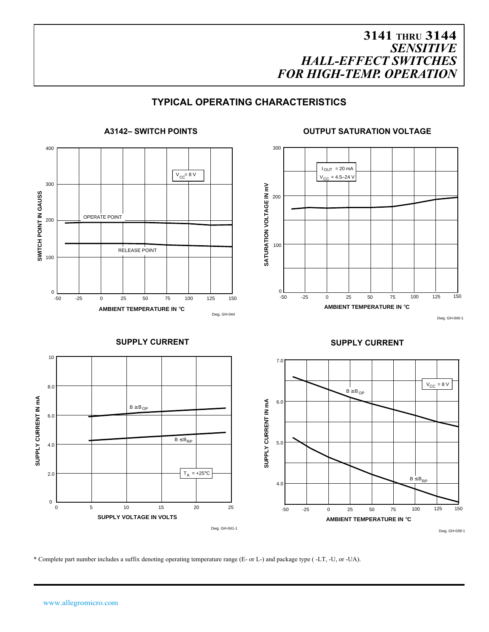#### **TYPICAL OPERATING CHARACTERISTICS**



\* Complete part number includes a suffix denoting operating temperature range (E- or L-) and package type ( -LT, -U, or -UA).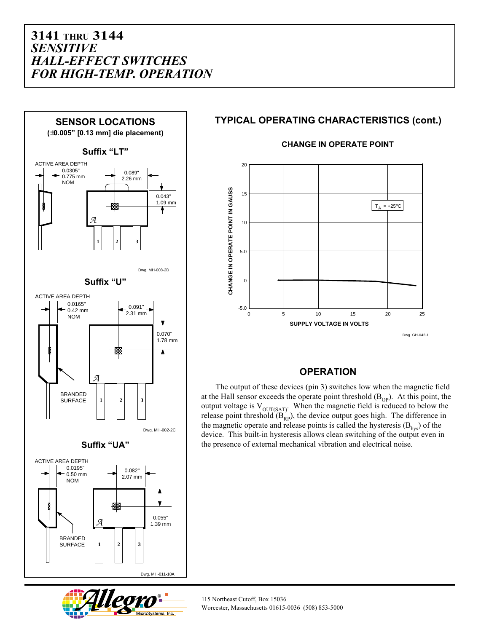

#### **TYPICAL OPERATING CHARACTERISTICS (cont.)**



#### **CHANGE IN OPERATE POINT**

#### **OPERATION**

The output of these devices (pin 3) switches low when the magnetic field at the Hall sensor exceeds the operate point threshold  $(B<sub>OP</sub>)$ . At this point, the output voltage is  $V_{\text{OUT(SAT)}}$ . When the magnetic field is reduced to below the release point threshold  $(B<sub>RP</sub>)$ , the device output goes high. The difference in the magnetic operate and release points is called the hysteresis  $(B<sub>hvs</sub>)$  of the device. This built-in hysteresis allows clean switching of the output even in the presence of external mechanical vibration and electrical noise.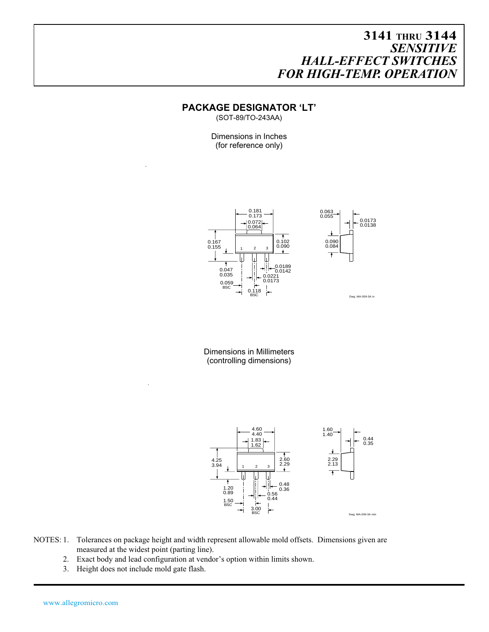#### **PACKAGE DESIGNATOR 'LT'**

(SOT-89/TO-243AA)

Dimensions in Inches (for reference only)



Dimensions in Millimeters (controlling dimensions)



- NOTES: 1. Tolerances on package height and width represent allowable mold offsets. Dimensions given are measured at the widest point (parting line).
	- 2. Exact body and lead configuration at vendor's option within limits shown.
	- 3. Height does not include mold gate flash.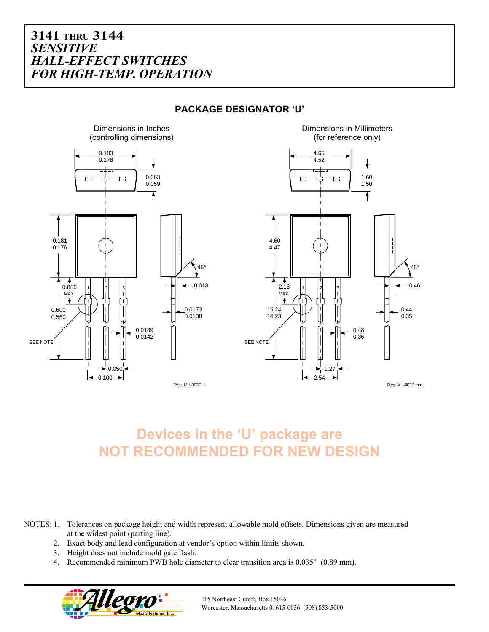

#### **PACKAGE DESIGNATOR 'U'**

**Devices in the 'U' package are NOT RECOMMENDED FOR NEW DESIGN**

NOTES: 1. Tolerances on package height and width represent allowable mold offsets. Dimensions given are measured at the widest point (parting line).

- 2. Exact body and lead configuration at vendor's option within limits shown.
- 3. Height does not include mold gate flash.
- 4. Recommended minimum PWB hole diameter to clear transition area is 0.035" (0.89 mm).



115 Northeast Cutoff, Box 15036 Worcester, Massachusetts 01615-0036 (508) 853-5000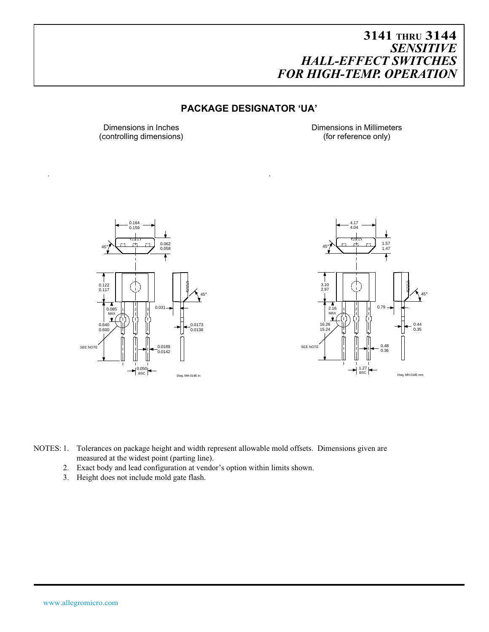#### **PACKAGE DESIGNATOR 'UA'**

(controlling dimensions)

Dimensions in Inches<br>
Controlling dimensions<br>
(for reference only)





NOTES: 1. Tolerances on package height and width represent allowable mold offsets. Dimensions given are measured at the widest point (parting line).

- 2. Exact body and lead configuration at vendor's option within limits shown.
- 3. Height does not include mold gate flash.